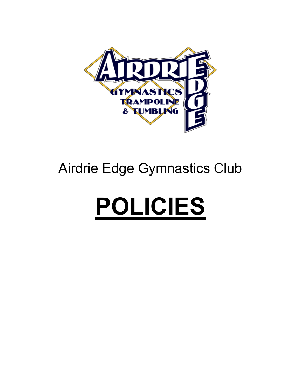

## Airdrie Edge Gymnastics Club

# **POLICIES**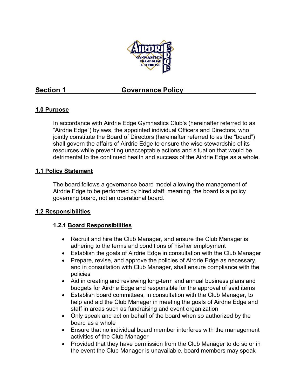

### **Section 1 Governance Policy**

### **1.0 Purpose**

In accordance with Airdrie Edge Gymnastics Club's (hereinafter referred to as "Airdrie Edge") bylaws, the appointed individual Officers and Directors, who jointly constitute the Board of Directors (hereinafter referred to as the "board") shall govern the affairs of Airdrie Edge to ensure the wise stewardship of its resources while preventing unacceptable actions and situation that would be detrimental to the continued health and success of the Airdrie Edge as a whole.

### **1.1 Policy Statement**

The board follows a governance board model allowing the management of Airdrie Edge to be performed by hired staff; meaning, the board is a policy governing board, not an operational board.

### **1.2 Responsibilities**

### **1.2.1 Board Responsibilities**

- Recruit and hire the Club Manager, and ensure the Club Manager is adhering to the terms and conditions of his/her employment
- Establish the goals of Airdrie Edge in consultation with the Club Manager
- Prepare, revise, and approve the policies of Airdrie Edge as necessary, and in consultation with Club Manager, shall ensure compliance with the policies
- Aid in creating and reviewing long-term and annual business plans and budgets for Airdrie Edge and responsible for the approval of said items
- Establish board committees, in consultation with the Club Manager, to help and aid the Club Manager in meeting the goals of Airdrie Edge and staff in areas such as fundraising and event organization
- Only speak and act on behalf of the board when so authorized by the board as a whole
- Ensure that no individual board member interferes with the management activities of the Club Manager
- Provided that they have permission from the Club Manager to do so or in the event the Club Manager is unavailable, board members may speak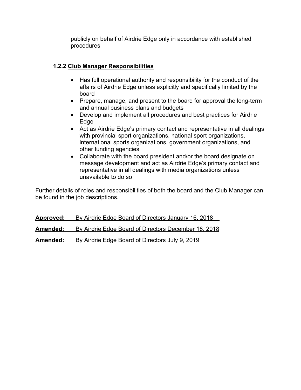publicly on behalf of Airdrie Edge only in accordance with established procedures

### **1.2.2 Club Manager Responsibilities**

- Has full operational authority and responsibility for the conduct of the affairs of Airdrie Edge unless explicitly and specifically limited by the board
- Prepare, manage, and present to the board for approval the long-term and annual business plans and budgets
- Develop and implement all procedures and best practices for Airdrie Edge
- Act as Airdrie Edge's primary contact and representative in all dealings with provincial sport organizations, national sport organizations, international sports organizations, government organizations, and other funding agencies
- Collaborate with the board president and/or the board designate on message development and act as Airdrie Edge's primary contact and representative in all dealings with media organizations unless unavailable to do so

Further details of roles and responsibilities of both the board and the Club Manager can be found in the job descriptions.

| <u>Approved:</u> | By Airdrie Edge Board of Directors January 16, 2018  |
|------------------|------------------------------------------------------|
| Amended:         | By Airdrie Edge Board of Directors December 18, 2018 |
| Amended:         | By Airdrie Edge Board of Directors July 9, 2019      |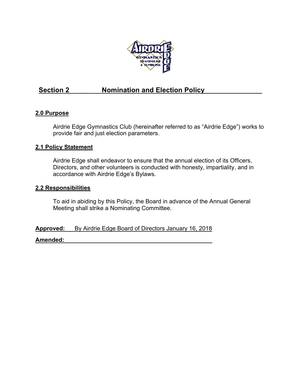

### Section 2 **Nomination and Election Policy**

### **2.0 Purpose**

Airdrie Edge Gymnastics Club (hereinafter referred to as "Airdrie Edge") works to provide fair and just election parameters.

### **2.1 Policy Statement**

Airdrie Edge shall endeavor to ensure that the annual election of its Officers, Directors, and other volunteers is conducted with honesty, impartiality, and in accordance with Airdrie Edge's Bylaws.

### **2.2 Responsibilities**

To aid in abiding by this Policy, the Board in advance of the Annual General Meeting shall strike a Nominating Committee.

**Approved:** By Airdrie Edge Board of Directors January 16, 2018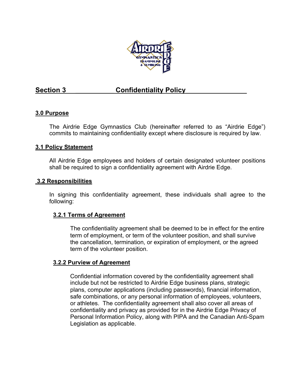

### Section 3 **Confidentiality Policy**

### **3.0 Purpose**

The Airdrie Edge Gymnastics Club (hereinafter referred to as "Airdrie Edge") commits to maintaining confidentiality except where disclosure is required by law.

### **3.1 Policy Statement**

All Airdrie Edge employees and holders of certain designated volunteer positions shall be required to sign a confidentiality agreement with Airdrie Edge.

### **3.2 Responsibilities**

In signing this confidentiality agreement, these individuals shall agree to the following:

### **3.2.1 Terms of Agreement**

The confidentiality agreement shall be deemed to be in effect for the entire term of employment, or term of the volunteer position, and shall survive the cancellation, termination, or expiration of employment, or the agreed term of the volunteer position.

### **3.2.2 Purview of Agreement**

Confidential information covered by the confidentiality agreement shall include but not be restricted to Airdrie Edge business plans, strategic plans, computer applications (including passwords), financial information, safe combinations, or any personal information of employees, volunteers, or athletes. The confidentiality agreement shall also cover all areas of confidentiality and privacy as provided for in the Airdrie Edge Privacy of Personal Information Policy, along with PIPA and the Canadian Anti-Spam Legislation as applicable.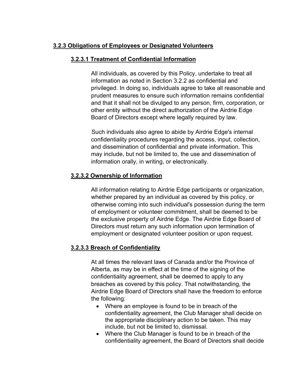### **3.2.3 Obligations of Employees or Designated Volunteers**

### **3.2.3.1 Treatment of Confidential Information**

All individuals, as covered by this Policy, undertake to treat all information as noted in Section 3.2.2 as confidential and privileged. In doing so, individuals agree to take all reasonable and prudent measures to ensure such information remains confidential and that it shall not be divulged to any person, firm, corporation, or other entity without the direct authorization of the Airdrie Edge Board of Directors except where legally required by law.

Such individuals also agree to abide by Airdrie Edge's internal confidentiality procedures regarding the access, input, collection, and dissemination of confidential and private information. This may include, but not be limited to, the use and dissemination of information orally, in writing, or electronically.

### **3.2.3.2 Ownership of Information**

All information relating to Airdrie Edge participants or organization, whether prepared by an individual as covered by this policy, or otherwise coming into such individual's possession during the term of employment or volunteer commitment, shall be deemed to be the exclusive property of Airdrie Edge. The Airdrie Edge Board of Directors must return any such information upon termination of employment or designated volunteer position or upon request.

### **3.2.3.3 Breach of Confidentiality**

At all times the relevant laws of Canada and/or the Province of Alberta, as may be in effect at the time of the signing of the confidentiality agreement, shall be deemed to apply to any breaches as covered by this policy. That notwithstanding, the Airdrie Edge Board of Directors shall have the freedom to enforce the following:

- Where an employee is found to be in breach of the confidentiality agreement, the Club Manager shall decide on the appropriate disciplinary action to be taken. This may include, but not be limited to, dismissal.
- Where the Club Manager is found to be in breach of the confidentiality agreement, the Board of Directors shall decide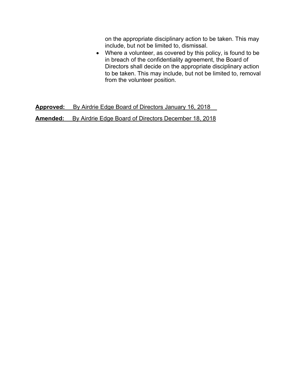on the appropriate disciplinary action to be taken. This may include, but not be limited to, dismissal.

• Where a volunteer, as covered by this policy, is found to be in breach of the confidentiality agreement, the Board of Directors shall decide on the appropriate disciplinary action to be taken. This may include, but not be limited to, removal from the volunteer position.

**Approved:** By Airdrie Edge Board of Directors January 16, 2018\_\_ **Amended:** By Airdrie Edge Board of Directors December 18, 2018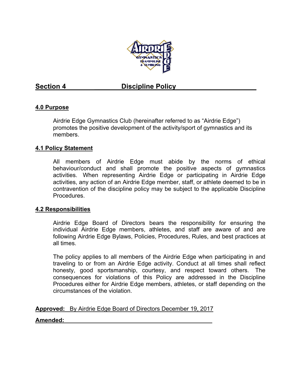

### **Section 4**  Discipline Policy

### **4.0 Purpose**

Airdrie Edge Gymnastics Club (hereinafter referred to as "Airdrie Edge") promotes the positive development of the activity/sport of gymnastics and its members.

### **4.1 Policy Statement**

All members of Airdrie Edge must abide by the norms of ethical behaviour/conduct and shall promote the positive aspects of gymnastics activities. When representing Airdrie Edge or participating in Airdrie Edge activities, any action of an Airdrie Edge member, staff, or athlete deemed to be in contravention of the discipline policy may be subject to the applicable Discipline Procedures.

### **4.2 Responsibilities**

Airdrie Edge Board of Directors bears the responsibility for ensuring the individual Airdrie Edge members, athletes, and staff are aware of and are following Airdrie Edge Bylaws, Policies, Procedures, Rules, and best practices at all times.

The policy applies to all members of the Airdrie Edge when participating in and traveling to or from an Airdrie Edge activity. Conduct at all times shall reflect honesty, good sportsmanship, courtesy, and respect toward others. The consequences for violations of this Policy are addressed in the Discipline Procedures either for Airdrie Edge members, athletes, or staff depending on the circumstances of the violation.

**Approved:** By Airdrie Edge Board of Directors December 19, 2017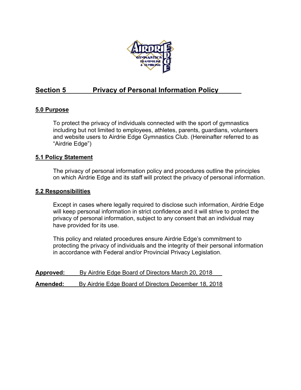

### Section 5 **Privacy of Personal Information Policy**

### **5.0 Purpose**

To protect the privacy of individuals connected with the sport of gymnastics including but not limited to employees, athletes, parents, guardians, volunteers and website users to Airdrie Edge Gymnastics Club. (Hereinafter referred to as "Airdrie Edge")

### **5.1 Policy Statement**

The privacy of personal information policy and procedures outline the principles on which Airdrie Edge and its staff will protect the privacy of personal information.

### **5.2 Responsibilities**

Except in cases where legally required to disclose such information, Airdrie Edge will keep personal information in strict confidence and it will strive to protect the privacy of personal information, subject to any consent that an individual may have provided for its use.

This policy and related procedures ensure Airdrie Edge's commitment to protecting the privacy of individuals and the integrity of their personal information in accordance with Federal and/or Provincial Privacy Legislation.

| <u>Approved:</u> | By Airdrie Edge Board of Directors March 20, 2018    |
|------------------|------------------------------------------------------|
| Amended:         | By Airdrie Edge Board of Directors December 18, 2018 |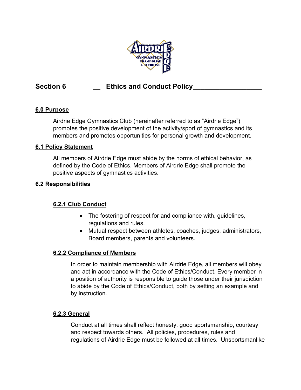

### Section 6 **Ethics and Conduct Policy**

### **6.0 Purpose**

Airdrie Edge Gymnastics Club (hereinafter referred to as "Airdrie Edge") promotes the positive development of the activity/sport of gymnastics and its members and promotes opportunities for personal growth and development.

### **6.1 Policy Statement**

All members of Airdrie Edge must abide by the norms of ethical behavior, as defined by the Code of Ethics. Members of Airdrie Edge shall promote the positive aspects of gymnastics activities.

### **6.2 Responsibilities**

### **6.2.1 Club Conduct**

- The fostering of respect for and compliance with, guidelines, regulations and rules.
- Mutual respect between athletes, coaches, judges, administrators, Board members, parents and volunteers.

### **6.2.2 Compliance of Members**

In order to maintain membership with Airdrie Edge, all members will obey and act in accordance with the Code of Ethics/Conduct. Every member in a position of authority is responsible to guide those under their jurisdiction to abide by the Code of Ethics/Conduct, both by setting an example and by instruction.

### **6.2.3 General**

Conduct at all times shall reflect honesty, good sportsmanship, courtesy and respect towards others. All policies, procedures, rules and regulations of Airdrie Edge must be followed at all times. Unsportsmanlike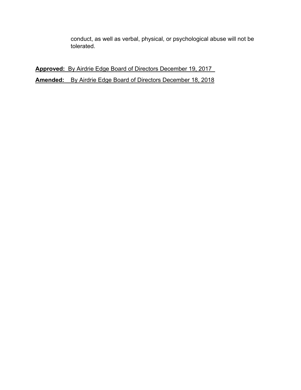conduct, as well as verbal, physical, or psychological abuse will not be tolerated.

**Approved:** By Airdrie Edge Board of Directors December 19, 2017\_ **Amended:** By Airdrie Edge Board of Directors December 18, 2018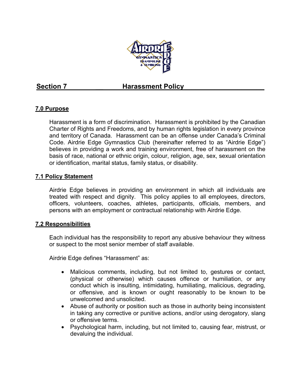

### **Section 7 harassment Policy**

### **7.0 Purpose**

Harassment is a form of discrimination. Harassment is prohibited by the Canadian Charter of Rights and Freedoms, and by human rights legislation in every province and territory of Canada. Harassment can be an offense under Canada's Criminal Code. Airdrie Edge Gymnastics Club (hereinafter referred to as "Airdrie Edge") believes in providing a work and training environment, free of harassment on the basis of race, national or ethnic origin, colour, religion, age, sex, sexual orientation or identification, marital status, family status, or disability.

### **7.1 Policy Statement**

Airdrie Edge believes in providing an environment in which all individuals are treated with respect and dignity. This policy applies to all employees, directors, officers, volunteers, coaches, athletes, participants, officials, members, and persons with an employment or contractual relationship with Airdrie Edge.

### **7.2 Responsibilities**

Each individual has the responsibility to report any abusive behaviour they witness or suspect to the most senior member of staff available.

Airdrie Edge defines "Harassment" as:

- Malicious comments, including, but not limited to, gestures or contact, (physical or otherwise) which causes offence or humiliation, or any conduct which is insulting, intimidating, humiliating, malicious, degrading, or offensive, and is known or ought reasonably to be known to be unwelcomed and unsolicited.
- Abuse of authority or position such as those in authority being inconsistent in taking any corrective or punitive actions, and/or using derogatory, slang or offensive terms.
- Psychological harm, including, but not limited to, causing fear, mistrust, or devaluing the individual.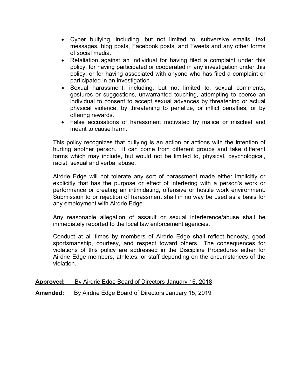- Cyber bullying, including, but not limited to, subversive emails, text messages, blog posts, Facebook posts, and Tweets and any other forms of social media.
- Retaliation against an individual for having filed a complaint under this policy, for having participated or cooperated in any investigation under this policy, or for having associated with anyone who has filed a complaint or participated in an investigation.
- Sexual harassment: including, but not limited to, sexual comments, gestures or suggestions, unwarranted touching, attempting to coerce an individual to consent to accept sexual advances by threatening or actual physical violence, by threatening to penalize, or inflict penalties, or by offering rewards.
- False accusations of harassment motivated by malice or mischief and meant to cause harm.

This policy recognizes that bullying is an action or actions with the intention of hurting another person. It can come from different groups and take different forms which may include, but would not be limited to, physical, psychological, racist, sexual and verbal abuse.

Airdrie Edge will not tolerate any sort of harassment made either implicitly or explicitly that has the purpose or effect of interfering with a person's work or performance or creating an intimidating, offensive or hostile work environment. Submission to or rejection of harassment shall in no way be used as a basis for any employment with Airdrie Edge.

Any reasonable allegation of assault or sexual interference/abuse shall be immediately reported to the local law enforcement agencies.

Conduct at all times by members of Airdrie Edge shall reflect honesty, good sportsmanship, courtesy, and respect toward others. The consequences for violations of this policy are addressed in the Discipline Procedures either for Airdrie Edge members, athletes, or staff depending on the circumstances of the violation.

**Approved:** By Airdrie Edge Board of Directors January 16, 2018

**Amended:** By Airdrie Edge Board of Directors January 15, 2019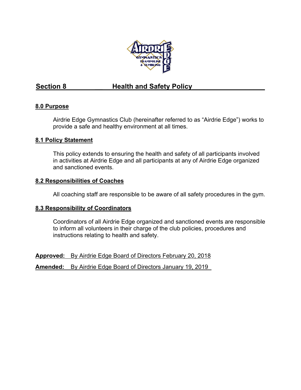

### Section 8 **Health and Safety Policy**

### **8.0 Purpose**

Airdrie Edge Gymnastics Club (hereinafter referred to as "Airdrie Edge") works to provide a safe and healthy environment at all times.

### **8.1 Policy Statement**

This policy extends to ensuring the health and safety of all participants involved in activities at Airdrie Edge and all participants at any of Airdrie Edge organized and sanctioned events.

### **8.2 Responsibilities of Coaches**

All coaching staff are responsible to be aware of all safety procedures in the gym.

### **8.3 Responsibility of Coordinators**

Coordinators of all Airdrie Edge organized and sanctioned events are responsible to inform all volunteers in their charge of the club policies, procedures and instructions relating to health and safety.

**Approved:** By Airdrie Edge Board of Directors February 20, 2018 **Amended:** By Airdrie Edge Board of Directors January 19, 2019\_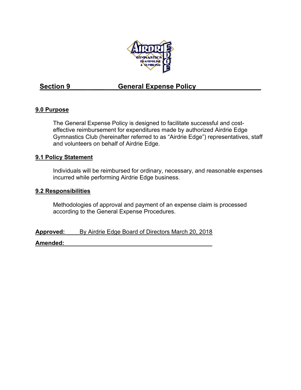

### Section 9 **General Expense Policy**

### **9.0 Purpose**

The General Expense Policy is designed to facilitate successful and costeffective reimbursement for expenditures made by authorized Airdrie Edge Gymnastics Club (hereinafter referred to as "Airdrie Edge") representatives, staff and volunteers on behalf of Airdrie Edge.

### **9.1 Policy Statement**

Individuals will be reimbursed for ordinary, necessary, and reasonable expenses incurred while performing Airdrie Edge business.

### **9.2 Responsibilities**

Methodologies of approval and payment of an expense claim is processed according to the General Expense Procedures.

**Approved:** By Airdrie Edge Board of Directors March 20, 2018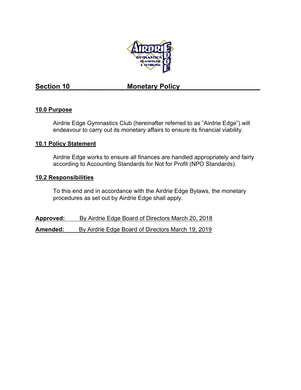

### Section 10 **Monetary Policy**

### **10.0 Purpose**

Airdrie Edge Gymnastics Club (hereinafter referred to as "Airdrie Edge") will endeavour to carry out its monetary affairs to ensure its financial viability.

### **10.1 Policy Statement**

Airdrie Edge works to ensure all finances are handled appropriately and fairly according to Accounting Standards for Not for Profit (NPO Standards).

### **10.2 Responsibilities**

To this end and in accordance with the Airdrie Edge Bylaws, the monetary procedures as set out by Airdrie Edge shall apply.

**Approved:** By Airdrie Edge Board of Directors March 20, 2018 **Amended:** By Airdrie Edge Board of Directors March 19, 2019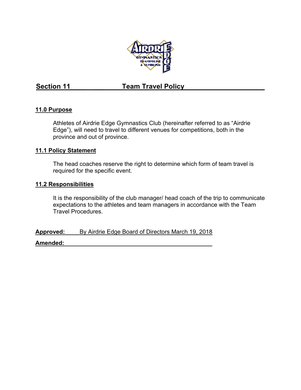

### Section 11 **Section 11** Team Travel Policy

### **11.0 Purpose**

Athletes of Airdrie Edge Gymnastics Club (hereinafter referred to as "Airdrie Edge"), will need to travel to different venues for competitions, both in the province and out of province.

### **11.1 Policy Statement**

The head coaches reserve the right to determine which form of team travel is required for the specific event.

### **11.2 Responsibilities**

It is the responsibility of the club manager/ head coach of the trip to communicate expectations to the athletes and team managers in accordance with the Team Travel Procedures.

**Approved:** By Airdrie Edge Board of Directors March 19, 2018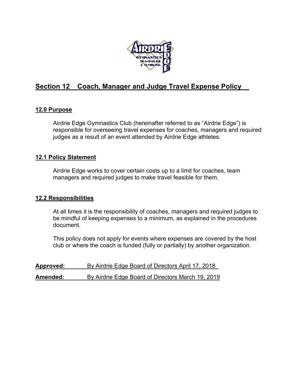

### **Section 12 Coach, Manager and Judge Travel Expense Policy\_\_**

### **12.0 Purpose**

Airdrie Edge Gymnastics Club (hereinafter referred to as "Airdrie Edge") is responsible for overseeing travel expenses for coaches, managers and required judges as a result of an event attended by Airdrie Edge athletes.

### **12.1 Policy Statement**

Airdrie Edge works to cover certain costs up to a limit for coaches, team managers and required judges to make travel feasible for them.

### **12.2 Responsibilities**

At all times it is the responsibility of coaches, managers and required judges to be mindful of keeping expenses to a minimum, as explained in the procedures document.

This policy does not apply for events where expenses are covered by the host club or where the coach is funded (fully or partially) by another organization.

| <u>Approved:</u> | By Airdrie Edge Board of Directors April 17, 2018 |
|------------------|---------------------------------------------------|
| Amended:         | By Airdrie Edge Board of Directors March 19, 2019 |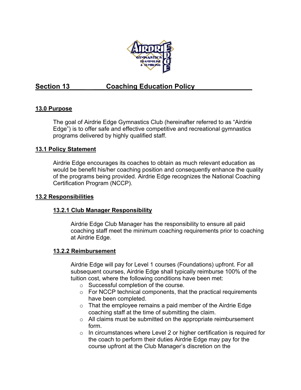

### **Section 13 Coaching Education Policy**

### **13.0 Purpose**

The goal of Airdrie Edge Gymnastics Club (hereinafter referred to as "Airdrie Edge") is to offer safe and effective competitive and recreational gymnastics programs delivered by highly qualified staff.

### **13.1 Policy Statement**

Airdrie Edge encourages its coaches to obtain as much relevant education as would be benefit his/her coaching position and consequently enhance the quality of the programs being provided. Airdrie Edge recognizes the National Coaching Certification Program (NCCP).

### **13.2 Responsibilities**

### **13.2.1 Club Manager Responsibility**

Airdrie Edge Club Manager has the responsibility to ensure all paid coaching staff meet the minimum coaching requirements prior to coaching at Airdrie Edge.

### **13.2.2 Reimbursement**

Airdrie Edge will pay for Level 1 courses (Foundations) upfront. For all subsequent courses, Airdrie Edge shall typically reimburse 100% of the tuition cost, where the following conditions have been met:

- o Successful completion of the course.
- o For NCCP technical components, that the practical requirements have been completed.
- o That the employee remains a paid member of the Airdrie Edge coaching staff at the time of submitting the claim.
- o All claims must be submitted on the appropriate reimbursement form.
- o In circumstances where Level 2 or higher certification is required for the coach to perform their duties Airdrie Edge may pay for the course upfront at the Club Manager's discretion on the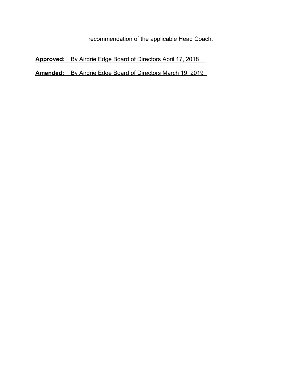recommendation of the applicable Head Coach.

**Approved:** By Airdrie Edge Board of Directors April 17, 2018\_\_

**Amended:** By Airdrie Edge Board of Directors March 19, 2019\_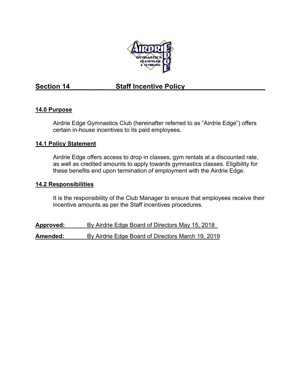

### Section 14 **Staff Incentive Policy**

### **14.0 Purpose**

Airdrie Edge Gymnastics Club (hereinafter referred to as "Airdrie Edge") offers certain in-house incentives to its paid employees.

### **14.1 Policy Statement**

Airdrie Edge offers access to drop in classes, gym rentals at a discounted rate, as well as credited amounts to apply towards gymnastics classes. Eligibility for these benefits end upon termination of employment with the Airdrie Edge.

### **14.2 Responsibilities**

It is the responsibility of the Club Manager to ensure that employees receive their incentive amounts as per the Staff incentives procedures.

**Approved:** \_\_\_\_\_By Airdrie Edge Board of Directors May 15, 2018\_ **Amended:** By Airdrie Edge Board of Directors March 19, 2019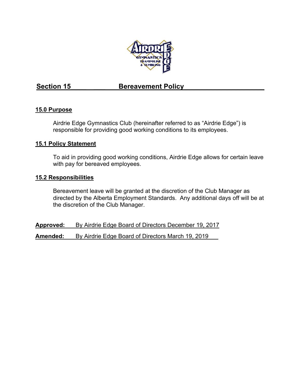

### **Section 15**<br>**Bereavement Policy**

### **15.0 Purpose**

Airdrie Edge Gymnastics Club (hereinafter referred to as "Airdrie Edge") is responsible for providing good working conditions to its employees.

### **15.1 Policy Statement**

To aid in providing good working conditions, Airdrie Edge allows for certain leave with pay for bereaved employees.

### **15.2 Responsibilities**

Bereavement leave will be granted at the discretion of the Club Manager as directed by the Alberta Employment Standards. Any additional days off will be at the discretion of the Club Manager.

**Approved:** By Airdrie Edge Board of Directors December 19, 2017

**Amended:** By Airdrie Edge Board of Directors March 19, 2019\_\_\_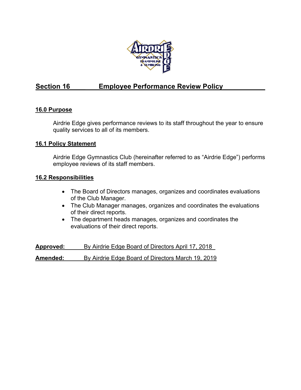

### Section 16 **Employee Performance Review Policy**

### **16.0 Purpose**

Airdrie Edge gives performance reviews to its staff throughout the year to ensure quality services to all of its members.

### **16.1 Policy Statement**

Airdrie Edge Gymnastics Club (hereinafter referred to as "Airdrie Edge") performs employee reviews of its staff members.

### **16.2 Responsibilities**

- The Board of Directors manages, organizes and coordinates evaluations of the Club Manager.
- The Club Manager manages, organizes and coordinates the evaluations of their direct reports.
- The department heads manages, organizes and coordinates the evaluations of their direct reports.

**Approved:** \_\_\_\_By Airdrie Edge Board of Directors April 17, 2018\_ **Amended:** By Airdrie Edge Board of Directors March 19, 2019